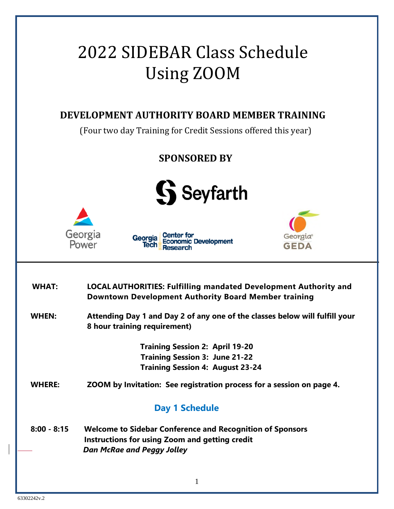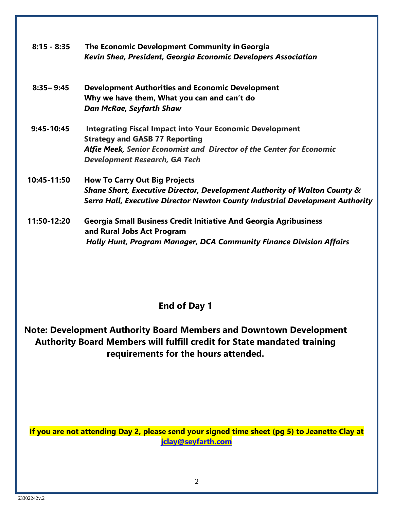| $8:15 - 8:35$ | The Economic Development Community in Georgia<br>Kevin Shea, President, Georgia Economic Developers Association                                                                                                          |
|---------------|--------------------------------------------------------------------------------------------------------------------------------------------------------------------------------------------------------------------------|
| $8:35 - 9:45$ | <b>Development Authorities and Economic Development</b><br>Why we have them, What you can and can't do<br><b>Dan McRae, Seyfarth Shaw</b>                                                                                |
| $9:45-10:45$  | <b>Integrating Fiscal Impact into Your Economic Development</b><br><b>Strategy and GASB 77 Reporting</b><br>Alfie Meek, Senior Economist and Director of the Center for Economic<br><b>Development Research, GA Tech</b> |
| 10:45-11:50   | <b>How To Carry Out Big Projects</b><br>Shane Short, Executive Director, Development Authority of Walton County &<br>Serra Hall, Executive Director Newton County Industrial Development Authority                       |
| 11:50-12:20   | <b>Georgia Small Business Credit Initiative And Georgia Agribusiness</b><br>and Rural Jobs Act Program<br><b>Holly Hunt, Program Manager, DCA Community Finance Division Affairs</b>                                     |

### **End of Day 1**

**Note: Development Authority Board Members and Downtown Development Authority Board Members will fulfill credit for State mandated training requirements for the hours attended.**

**If you are not attending Day 2, please send your signed time sheet (pg 5) to Jeanette Clay at jclay@seyfarth.com**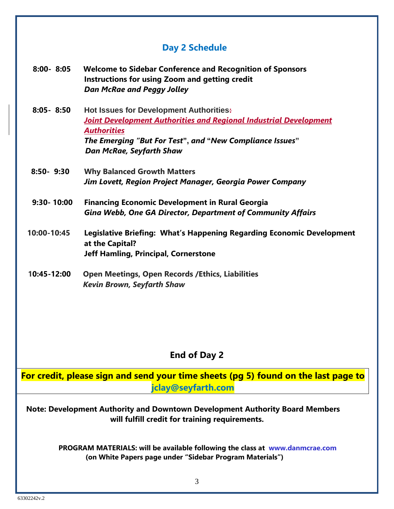# **Day 2 Schedule**

| $8:00 - 8:05$  | <b>Welcome to Sidebar Conference and Recognition of Sponsors</b><br>Instructions for using Zoom and getting credit<br><b>Dan McRae and Peggy Jolley</b>                                                                                  |
|----------------|------------------------------------------------------------------------------------------------------------------------------------------------------------------------------------------------------------------------------------------|
| $8:05 - 8:50$  | <b>Hot Issues for Development Authorities:</b><br><b>Joint Development Authorities and Regional Industrial Development</b><br><b>Authorities</b><br>The Emerging "But For Test", and "New Compliance Issues"<br>Dan McRae, Seyfarth Shaw |
| $8:50 - 9:30$  | <b>Why Balanced Growth Matters</b><br>Jim Lovett, Region Project Manager, Georgia Power Company                                                                                                                                          |
| $9:30 - 10:00$ | <b>Financing Economic Development in Rural Georgia</b><br><b>Gina Webb, One GA Director, Department of Community Affairs</b>                                                                                                             |
| 10:00-10:45    | Legislative Briefing: What's Happening Regarding Economic Development<br>at the Capital?<br><b>Jeff Hamling, Principal, Cornerstone</b>                                                                                                  |
| 10:45-12:00    | <b>Open Meetings, Open Records / Ethics, Liabilities</b><br><b>Kevin Brown, Seyfarth Shaw</b>                                                                                                                                            |

## **End of Day 2**

| For credit, please sign and send your time sheets (pg 5) found on the last page to                                                              |
|-------------------------------------------------------------------------------------------------------------------------------------------------|
| jclay@seyfarth.com                                                                                                                              |
| Note: Development Authority and Downtown Development Authority Board Members<br>will fulfill credit for training requirements.                  |
| <b>PROGRAM MATERIALS: will be available following the class at www.danmcrae.com</b><br>(on White Papers page under "Sidebar Program Materials") |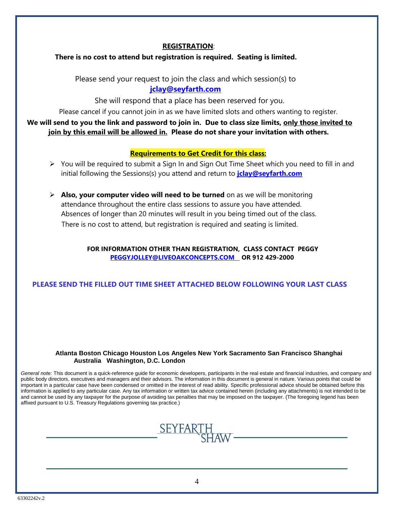#### **REGISTRATION**:

#### **There is no cost to attend but registration is required. Seating is limited.**

Please send your request to join the class and which session(s) to **jclay@seyfarth.com**

She will respond that a place has been reserved for you.

Please cancel if you cannot join in as we have limited slots and others wanting to register.

 **We will send to you the link and password to join in. Due to class size limits, only those invited to join by this email will be allowed in. Please do not share your invitation with others.** 

#### **Requirements to Get Credit for this class:**

- $\triangleright$  You will be required to submit a Sign In and Sign Out Time Sheet which you need to fill in and initial following the Sessions(s) you attend and return to **jclay@seyfarth.com**
- **Also, your computer video will need to be turned** on as we will be monitoring attendance throughout the entire class sessions to assure you have attended. Absences of longer than 20 minutes will result in you being timed out of the class. There is no cost to attend, but registration is required and seating is limited.

#### **FOR INFORMATION OTHER THAN REGISTRATION, CLASS CONTACT PEGGY PEGGYJOLLEY@LIVEOAKCONCEPTS.COM OR 912 429-2000**

### **PLEASE SEND THE FILLED OUT TIME SHEET ATTACHED BELOW FOLLOWING YOUR LAST CLASS**

#### **Atlanta Boston Chicago Houston Los Angeles New York Sacramento San Francisco Shanghai Australia Washington, D.C. London**

*General note:* This document is a quick-reference guide for economic developers, participants in the real estate and financial industries, and company and public body directors, executives and managers and their advisors. The information in this document is general in nature. Various points that could be important in a particular case have been condensed or omitted in the interest of read ability. Specific professional advice should be obtained before this information is applied to any particular case. Any tax information or written tax advice contained herein (including any attachments) is not intended to be and cannot be used by any taxpayer for the purpose of avoiding tax penalties that may be imposed on the taxpayer. (The foregoing legend has been affixed pursuant to U.S. Treasury Regulations governing tax practice.)